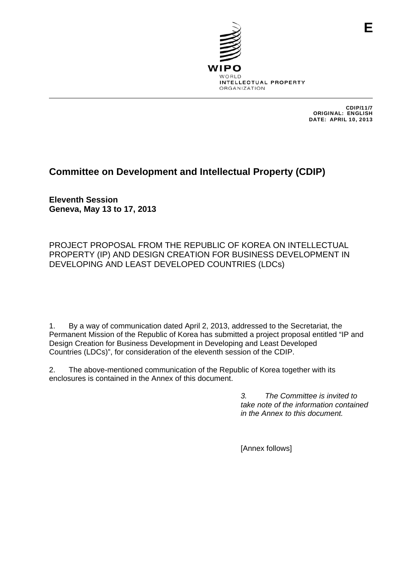

CDIP/11/7 ORIGINAL: ENGLISH DATE: APRIL 10, 2013

### **Committee on Development and Intellectual Property (CDIP)**

**Eleventh Session Geneva, May 13 to 17, 2013** 

PROJECT PROPOSAL FROM THE REPUBLIC OF KOREA ON INTELLECTUAL PROPERTY (IP) AND DESIGN CREATION FOR BUSINESS DEVELOPMENT IN DEVELOPING AND LEAST DEVELOPED COUNTRIES (LDCs)

1. By a way of communication dated April 2, 2013, addressed to the Secretariat, the Permanent Mission of the Republic of Korea has submitted a project proposal entitled "IP and Design Creation for Business Development in Developing and Least Developed Countries (LDCs)", for consideration of the eleventh session of the CDIP.

2. The above-mentioned communication of the Republic of Korea together with its enclosures is contained in the Annex of this document.

> *3. The Committee is invited to take note of the information contained in the Annex to this document.*

[Annex follows]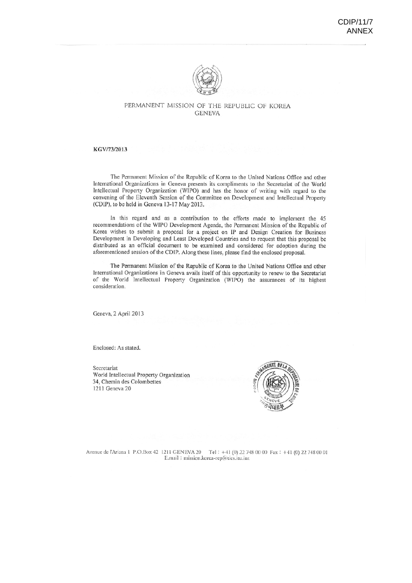

#### PERMANENT MISSION OF THE REPUBLIC OF KOREA **GENEVA**

#### KGV/73/2013

The Permanent Mission of the Republic of Korea to the United Nations Office and other International Organizations in Geneva presents its compliments to the Secretariat of the World Intellectual Property Organization (WIPO) and has the honor of writing with regard to the convening of the Eleventh Session of the Committee on Development and Intellectual Property (CDIP), to be held in Geneva 13-17 May 2013.

In this regard and as a contribution to the efforts made to implement the 45 recommendations of the WIPO Development Agenda, the Permanent Mission of the Republic of Korea wishes to submit a proposal for a project on IP and Design Creation for Business Development in Developing and Least Developed Countries and to request that this proposal be distributed as an official document to be examined and considered for adoption during the aforementioned session of the CDIP. Along these lines, please find the enclosed proposal.

The Permanent Mission of the Republic of Korea to the United Nations Office and other International Organizations in Geneva avails itself of this opportunity to renew to the Secretariat of the World Intellectual Property Organization (WIPO) the assurances of its highest consideration.

Geneva, 2 April 2013

Enclosed: As stated.

Secretariat World Intellectual Property Organization 34, Chemin des Colombettes 1211 Geneva 20



Avenue de l'Ariana 1 P.O.Box 42 1211 GENEVA 20 Tel : +41 (0) 22 748 00 00 Fax : +41 (0) 22 748 00 01 E.mail: mission.korea-rep@ties.itu.int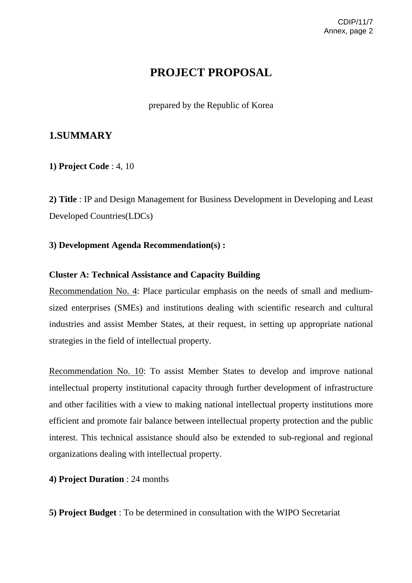# **PROJECT PROPOSAL**

prepared by the Republic of Korea

## **1.SUMMARY**

**1) Project Code** : 4, 10

**2) Title** : IP and Design Management for Business Development in Developing and Least Developed Countries(LDCs)

### **3) Development Agenda Recommendation(s) :**

### **Cluster A: Technical Assistance and Capacity Building**

Recommendation No. 4: Place particular emphasis on the needs of small and mediumsized enterprises (SMEs) and institutions dealing with scientific research and cultural industries and assist Member States, at their request, in setting up appropriate national strategies in the field of intellectual property.

Recommendation No. 10: To assist Member States to develop and improve national intellectual property institutional capacity through further development of infrastructure and other facilities with a view to making national intellectual property institutions more efficient and promote fair balance between intellectual property protection and the public interest. This technical assistance should also be extended to sub-regional and regional organizations dealing with intellectual property.

**4) Project Duration** : 24 months

**5) Project Budget** : To be determined in consultation with the WIPO Secretariat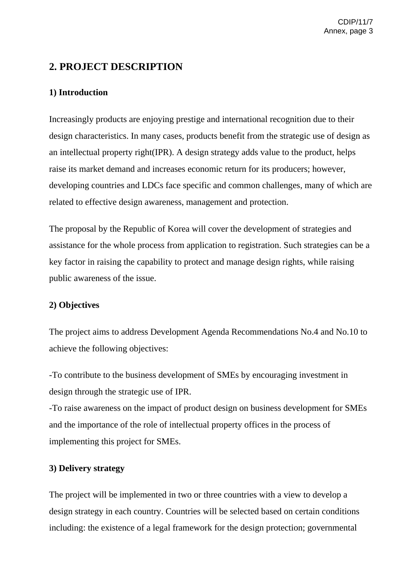## **2. PROJECT DESCRIPTION**

### **1) Introduction**

Increasingly products are enjoying prestige and international recognition due to their design characteristics. In many cases, products benefit from the strategic use of design as an intellectual property right(IPR). A design strategy adds value to the product, helps raise its market demand and increases economic return for its producers; however, developing countries and LDCs face specific and common challenges, many of which are related to effective design awareness, management and protection.

The proposal by the Republic of Korea will cover the development of strategies and assistance for the whole process from application to registration. Such strategies can be a key factor in raising the capability to protect and manage design rights, while raising public awareness of the issue.

### **2) Objectives**

The project aims to address Development Agenda Recommendations No.4 and No.10 to achieve the following objectives:

-To contribute to the business development of SMEs by encouraging investment in design through the strategic use of IPR.

-To raise awareness on the impact of product design on business development for SMEs and the importance of the role of intellectual property offices in the process of implementing this project for SMEs.

### **3) Delivery strategy**

The project will be implemented in two or three countries with a view to develop a design strategy in each country. Countries will be selected based on certain conditions including: the existence of a legal framework for the design protection; governmental